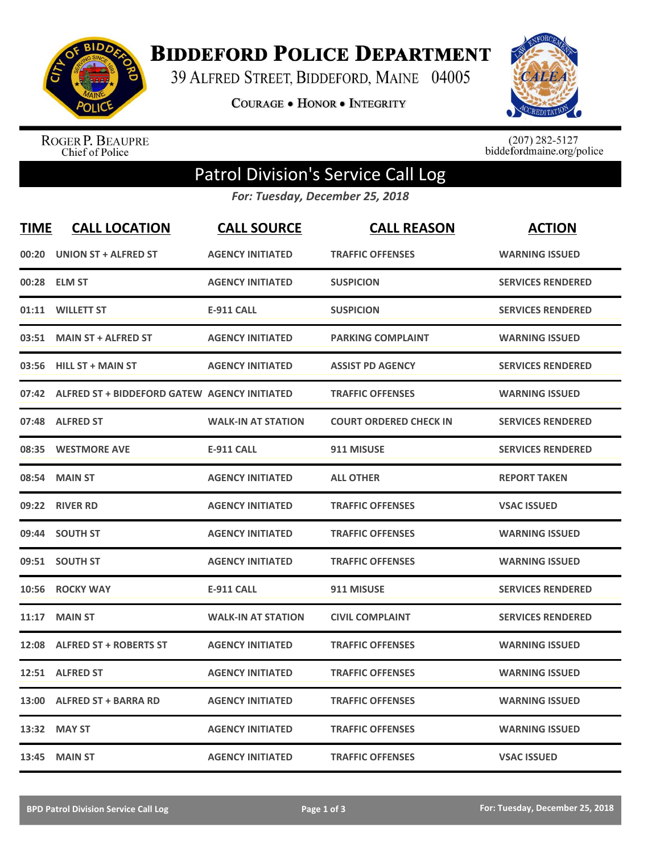

**BIDDEFORD POLICE DEPARTMENT** 

39 ALFRED STREET, BIDDEFORD, MAINE 04005

**COURAGE . HONOR . INTEGRITY** 



ROGER P. BEAUPRE<br>Chief of Police

 $(207)$  282-5127<br>biddefordmaine.org/police

## Patrol Division's Service Call Log

*For: Tuesday, December 25, 2018*

| <b>TIME</b> | <b>CALL LOCATION</b>                         | <b>CALL SOURCE</b>        | <b>CALL REASON</b>            | <b>ACTION</b>            |
|-------------|----------------------------------------------|---------------------------|-------------------------------|--------------------------|
| 00:20       | <b>UNION ST + ALFRED ST</b>                  | <b>AGENCY INITIATED</b>   | <b>TRAFFIC OFFENSES</b>       | <b>WARNING ISSUED</b>    |
| 00:28       | <b>ELM ST</b>                                | <b>AGENCY INITIATED</b>   | <b>SUSPICION</b>              | <b>SERVICES RENDERED</b> |
| 01:11       | <b>WILLETT ST</b>                            | <b>E-911 CALL</b>         | <b>SUSPICION</b>              | <b>SERVICES RENDERED</b> |
| 03:51       | <b>MAIN ST + ALFRED ST</b>                   | <b>AGENCY INITIATED</b>   | <b>PARKING COMPLAINT</b>      | <b>WARNING ISSUED</b>    |
| 03:56       | <b>HILL ST + MAIN ST</b>                     | <b>AGENCY INITIATED</b>   | <b>ASSIST PD AGENCY</b>       | <b>SERVICES RENDERED</b> |
| 07:42       | ALFRED ST + BIDDEFORD GATEW AGENCY INITIATED |                           | <b>TRAFFIC OFFENSES</b>       | <b>WARNING ISSUED</b>    |
| 07:48       | <b>ALFRED ST</b>                             | <b>WALK-IN AT STATION</b> | <b>COURT ORDERED CHECK IN</b> | <b>SERVICES RENDERED</b> |
| 08:35       | <b>WESTMORE AVE</b>                          | <b>E-911 CALL</b>         | 911 MISUSE                    | <b>SERVICES RENDERED</b> |
| 08:54       | <b>MAIN ST</b>                               | <b>AGENCY INITIATED</b>   | <b>ALL OTHER</b>              | <b>REPORT TAKEN</b>      |
|             | 09:22 RIVER RD                               | <b>AGENCY INITIATED</b>   | <b>TRAFFIC OFFENSES</b>       | <b>VSAC ISSUED</b>       |
|             | 09:44 SOUTH ST                               | <b>AGENCY INITIATED</b>   | <b>TRAFFIC OFFENSES</b>       | <b>WARNING ISSUED</b>    |
| 09:51       | <b>SOUTH ST</b>                              | <b>AGENCY INITIATED</b>   | <b>TRAFFIC OFFENSES</b>       | <b>WARNING ISSUED</b>    |
| 10:56       | <b>ROCKY WAY</b>                             | <b>E-911 CALL</b>         | 911 MISUSE                    | <b>SERVICES RENDERED</b> |
| 11:17       | <b>MAIN ST</b>                               | <b>WALK-IN AT STATION</b> | <b>CIVIL COMPLAINT</b>        | <b>SERVICES RENDERED</b> |
| 12:08       | <b>ALFRED ST + ROBERTS ST</b>                | <b>AGENCY INITIATED</b>   | <b>TRAFFIC OFFENSES</b>       | <b>WARNING ISSUED</b>    |
| 12:51       | <b>ALFRED ST</b>                             | <b>AGENCY INITIATED</b>   | <b>TRAFFIC OFFENSES</b>       | <b>WARNING ISSUED</b>    |
| 13:00       | <b>ALFRED ST + BARRA RD</b>                  | <b>AGENCY INITIATED</b>   | <b>TRAFFIC OFFENSES</b>       | <b>WARNING ISSUED</b>    |
| 13:32       | <b>MAY ST</b>                                | <b>AGENCY INITIATED</b>   | <b>TRAFFIC OFFENSES</b>       | <b>WARNING ISSUED</b>    |
|             | 13:45 MAIN ST                                | <b>AGENCY INITIATED</b>   | <b>TRAFFIC OFFENSES</b>       | <b>VSAC ISSUED</b>       |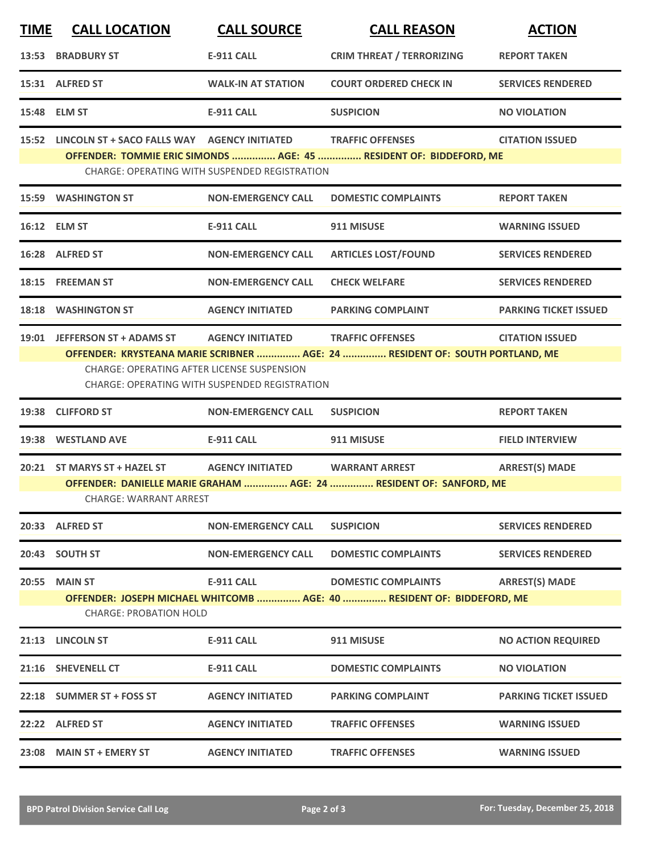| <b>TIME</b> | <b>CALL LOCATION</b>                                                                                    | <b>CALL SOURCE</b>                                   | <b>CALL REASON</b>                                                           | <b>ACTION</b>                |  |  |
|-------------|---------------------------------------------------------------------------------------------------------|------------------------------------------------------|------------------------------------------------------------------------------|------------------------------|--|--|
|             | 13:53 BRADBURY ST                                                                                       | E-911 CALL                                           | <b>CRIM THREAT / TERRORIZING</b>                                             | <b>REPORT TAKEN</b>          |  |  |
|             | 15:31 ALFRED ST                                                                                         | <b>WALK-IN AT STATION</b>                            | <b>COURT ORDERED CHECK IN</b>                                                | <b>SERVICES RENDERED</b>     |  |  |
|             | 15:48 ELM ST                                                                                            | <b>E-911 CALL</b>                                    | <b>SUSPICION</b>                                                             | <b>NO VIOLATION</b>          |  |  |
|             | 15:52 LINCOLN ST + SACO FALLS WAY AGENCY INITIATED TRAFFIC OFFENSES                                     |                                                      |                                                                              | <b>CITATION ISSUED</b>       |  |  |
|             |                                                                                                         | CHARGE: OPERATING WITH SUSPENDED REGISTRATION        | OFFENDER: TOMMIE ERIC SIMONDS  AGE: 45  RESIDENT OF: BIDDEFORD, ME           |                              |  |  |
|             | <b>15:59 WASHINGTON ST</b>                                                                              | <b>NON-EMERGENCY CALL</b>                            | <b>DOMESTIC COMPLAINTS</b>                                                   | <b>REPORT TAKEN</b>          |  |  |
|             | 16:12 ELM ST                                                                                            | <b>E-911 CALL</b>                                    | 911 MISUSE                                                                   | <b>WARNING ISSUED</b>        |  |  |
|             | 16:28 ALFRED ST                                                                                         | <b>NON-EMERGENCY CALL</b>                            | <b>ARTICLES LOST/FOUND</b>                                                   | <b>SERVICES RENDERED</b>     |  |  |
|             | 18:15 FREEMAN ST                                                                                        | <b>NON-EMERGENCY CALL</b>                            | <b>CHECK WELFARE</b>                                                         | <b>SERVICES RENDERED</b>     |  |  |
|             | 18:18 WASHINGTON ST                                                                                     | <b>AGENCY INITIATED</b>                              | <b>PARKING COMPLAINT</b>                                                     | <b>PARKING TICKET ISSUED</b> |  |  |
|             | 19:01 JEFFERSON ST + ADAMS ST                                                                           | <b>AGENCY INITIATED</b>                              | <b>TRAFFIC OFFENSES</b>                                                      | <b>CITATION ISSUED</b>       |  |  |
|             | <b>CHARGE: OPERATING AFTER LICENSE SUSPENSION</b>                                                       |                                                      | OFFENDER: KRYSTEANA MARIE SCRIBNER  AGE: 24  RESIDENT OF: SOUTH PORTLAND, ME |                              |  |  |
|             |                                                                                                         | <b>CHARGE: OPERATING WITH SUSPENDED REGISTRATION</b> |                                                                              |                              |  |  |
|             | 19:38 CLIFFORD ST                                                                                       | <b>NON-EMERGENCY CALL</b>                            | <b>SUSPICION</b>                                                             | <b>REPORT TAKEN</b>          |  |  |
|             | 19:38 WESTLAND AVE                                                                                      | <b>E-911 CALL</b>                                    | 911 MISUSE                                                                   | <b>FIELD INTERVIEW</b>       |  |  |
|             | 20:21 ST MARYS ST + HAZEL ST                                                                            | AGENCY INITIATED WARRANT ARREST                      |                                                                              | <b>ARREST(S) MADE</b>        |  |  |
|             | OFFENDER: DANIELLE MARIE GRAHAM  AGE: 24  RESIDENT OF: SANFORD, ME<br><b>CHARGE: WARRANT ARREST</b>     |                                                      |                                                                              |                              |  |  |
|             | 20:33 ALFRED ST                                                                                         | <b>NON-EMERGENCY CALL</b>                            | <b>SUSPICION</b>                                                             | <b>SERVICES RENDERED</b>     |  |  |
|             | 20:43 SOUTH ST                                                                                          | <b>NON-EMERGENCY CALL</b>                            | <b>DOMESTIC COMPLAINTS</b>                                                   | <b>SERVICES RENDERED</b>     |  |  |
| 20:55       | <b>MAIN ST</b>                                                                                          | <b>E-911 CALL</b>                                    | <b>DOMESTIC COMPLAINTS</b>                                                   | <b>ARREST(S) MADE</b>        |  |  |
|             | OFFENDER: JOSEPH MICHAEL WHITCOMB  AGE: 40  RESIDENT OF: BIDDEFORD, ME<br><b>CHARGE: PROBATION HOLD</b> |                                                      |                                                                              |                              |  |  |
|             | 21:13 LINCOLN ST                                                                                        | <b>E-911 CALL</b>                                    | 911 MISUSE                                                                   | <b>NO ACTION REQUIRED</b>    |  |  |
|             | 21:16 SHEVENELL CT                                                                                      | E-911 CALL                                           | <b>DOMESTIC COMPLAINTS</b>                                                   | <b>NO VIOLATION</b>          |  |  |
| 22:18       | <b>SUMMER ST + FOSS ST</b>                                                                              | <b>AGENCY INITIATED</b>                              | <b>PARKING COMPLAINT</b>                                                     | <b>PARKING TICKET ISSUED</b> |  |  |
|             | 22:22 ALFRED ST                                                                                         | <b>AGENCY INITIATED</b>                              | <b>TRAFFIC OFFENSES</b>                                                      | <b>WARNING ISSUED</b>        |  |  |
|             | 23:08 MAIN ST + EMERY ST                                                                                | <b>AGENCY INITIATED</b>                              | <b>TRAFFIC OFFENSES</b>                                                      | <b>WARNING ISSUED</b>        |  |  |